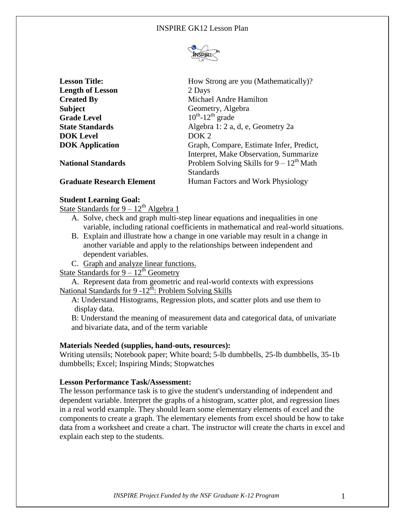

| <b>Lesson Title:</b>             | How Strong are you (Mathematically)?          |
|----------------------------------|-----------------------------------------------|
| <b>Length of Lesson</b>          | 2 Days                                        |
| <b>Created By</b>                | Michael Andre Hamilton                        |
| <b>Subject</b>                   | Geometry, Algebra                             |
| <b>Grade Level</b>               | $10^{th}$ -12 <sup>th</sup> grade             |
| <b>State Standards</b>           | Algebra 1: 2 a, d, e, Geometry 2a             |
| <b>DOK</b> Level                 | DOK <sub>2</sub>                              |
| <b>DOK</b> Application           | Graph, Compare, Estimate Infer, Predict,      |
|                                  | Interpret, Make Observation, Summarize        |
| <b>National Standards</b>        | Problem Solving Skills for $9 - 12^{th}$ Math |
|                                  | <b>Standards</b>                              |
| <b>Graduate Research Element</b> | Human Factors and Work Physiology             |

## **Student Learning Goal:**

State Standards for  $9 - 12^{th}$  Algebra 1

- A. Solve, check and graph multi-step linear equations and inequalities in one variable, including rational coefficients in mathematical and real-world situations.
- B. Explain and illustrate how a change in one variable may result in a change in another variable and apply to the relationships between independent and dependent variables.
- C. Graph and analyze linear functions.

State Standards for  $9 - 12^{th}$  Geometry

A. Represent data from geometric and real-world contexts with expressions National Standards for 9 -12<sup>th</sup>: Problem Solving Skills

A: Understand Histograms, Regression plots, and scatter plots and use them to display data.

B: Understand the meaning of measurement data and categorical data, of univariate and bivariate data, and of the term variable

#### **Materials Needed (supplies, hand-outs, resources):**

Writing utensils; Notebook paper; White board; 5-lb dumbbells, 25-lb dumbbells, 35-1b dumbbells; Excel; Inspiring Minds; Stopwatches

#### **Lesson Performance Task/Assessment:**

The lesson performance task is to give the student's understanding of independent and dependent variable. Interpret the graphs of a histogram, scatter plot, and regression lines in a real world example. They should learn some elementary elements of excel and the components to create a graph. The elementary elements from excel should be how to take data from a worksheet and create a chart. The instructor will create the charts in excel and explain each step to the students.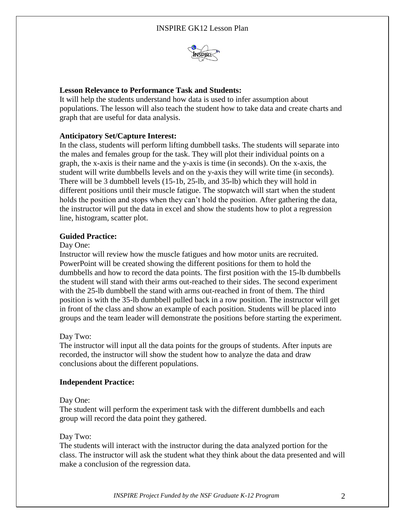

## **Lesson Relevance to Performance Task and Students:**

It will help the students understand how data is used to infer assumption about populations. The lesson will also teach the student how to take data and create charts and graph that are useful for data analysis.

## **Anticipatory Set/Capture Interest:**

In the class, students will perform lifting dumbbell tasks. The students will separate into the males and females group for the task. They will plot their individual points on a graph, the x-axis is their name and the y-axis is time (in seconds). On the x-axis, the student will write dumbbells levels and on the y-axis they will write time (in seconds). There will be 3 dumbbell levels (15-1b, 25-lb, and 35-lb) which they will hold in different positions until their muscle fatigue. The stopwatch will start when the student holds the position and stops when they can't hold the position. After gathering the data, the instructor will put the data in excel and show the students how to plot a regression line, histogram, scatter plot.

## **Guided Practice:**

## Day One:

Instructor will review how the muscle fatigues and how motor units are recruited. PowerPoint will be created showing the different positions for them to hold the dumbbells and how to record the data points. The first position with the 15-lb dumbbells the student will stand with their arms out-reached to their sides. The second experiment with the 25-lb dumbbell the stand with arms out-reached in front of them. The third position is with the 35-lb dumbbell pulled back in a row position. The instructor will get in front of the class and show an example of each position. Students will be placed into groups and the team leader will demonstrate the positions before starting the experiment.

## Day Two:

The instructor will input all the data points for the groups of students. After inputs are recorded, the instructor will show the student how to analyze the data and draw conclusions about the different populations.

## **Independent Practice:**

## Day One:

The student will perform the experiment task with the different dumbbells and each group will record the data point they gathered.

# Day Two:

The students will interact with the instructor during the data analyzed portion for the class. The instructor will ask the student what they think about the data presented and will make a conclusion of the regression data.